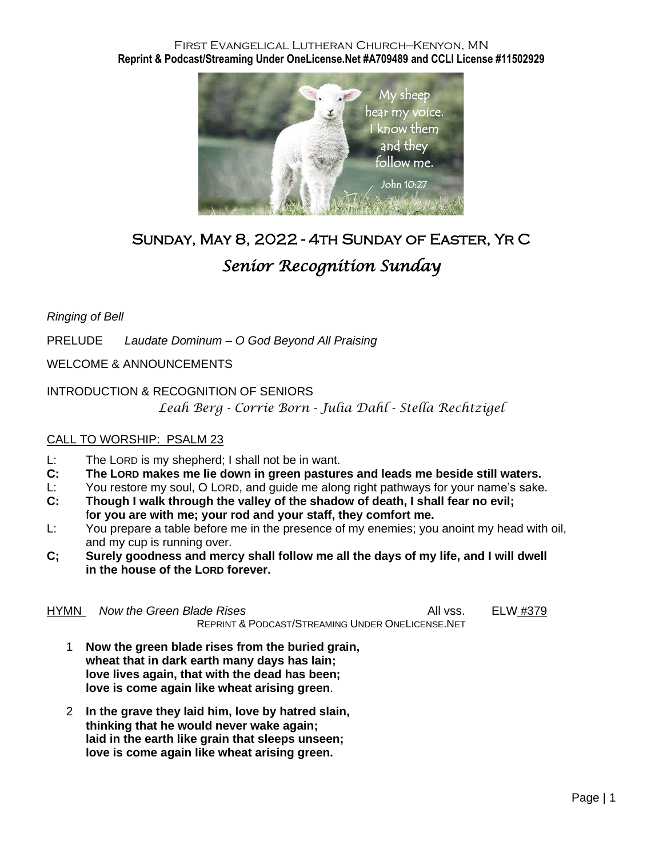### First Evangelical Lutheran Church—Kenyon, MN **Reprint & Podcast/Streaming Under OneLicense.Net #A709489 and CCLI License #11502929**



# Sunday, May 8, 2022 - 4th Sunday of Easter, Yr C *Senior Recognition Sunday*

*Ringing of Bell*

PRELUDE *Laudate Dominum – O God Beyond All Praising*

WELCOME & ANNOUNCEMENTS

# INTRODUCTION & RECOGNITION OF SENIORS

*Leah Berg - Corrie Born - Julia Dahl - Stella Rechtzigel*

#### CALL TO WORSHIP: PSALM 23

- L: The LORD is my shepherd; I shall not be in want.
- **C: The LORD makes me lie down in green pastures and leads me beside still waters.**
- L: You restore my soul, O LORD, and guide me along right pathways for your name's sake.
- **C: Though I walk through the valley of the shadow of death, I shall fear no evil;** f**or you are with me; your rod and your staff, they comfort me.**
- L: You prepare a table before me in the presence of my enemies; you anoint my head with oil, and my cup is running over.
- **C; Surely goodness and mercy shall follow me all the days of my life, and I will dwell in the house of the LORD forever.**

| HYMN | Now the Green Blade Rises                        | All vss. | ELW #379 |  |
|------|--------------------------------------------------|----------|----------|--|
|      | REPRINT & PODCAST/STREAMING UNDER ONELICENSE.NET |          |          |  |

- 1 **Now the green blade rises from the buried grain, wheat that in dark earth many days has lain; love lives again, that with the dead has been; love is come again like wheat arising green**.
- 2 **In the grave they laid him, love by hatred slain, thinking that he would never wake again; laid in the earth like grain that sleeps unseen; love is come again like wheat arising green.**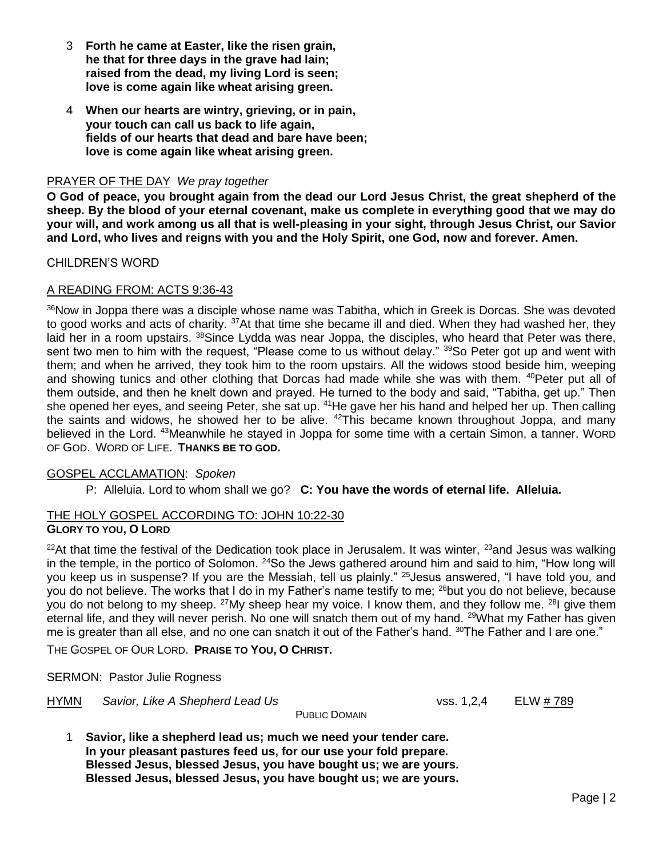- 3 **Forth he came at Easter, like the risen grain, he that for three days in the grave had lain; raised from the dead, my living Lord is seen; love is come again like wheat arising green.**
- 4 **When our hearts are wintry, grieving, or in pain, your touch can call us back to life again, fields of our hearts that dead and bare have been; love is come again like wheat arising green.**

# PRAYER OF THE DAY *We pray together*

**O God of peace, you brought again from the dead our Lord Jesus Christ, the great shepherd of the sheep. By the blood of your eternal covenant, make us complete in everything good that we may do your will, and work among us all that is well-pleasing in your sight, through Jesus Christ, our Savior and Lord, who lives and reigns with you and the Holy Spirit, one God, now and forever. Amen.**

# CHILDREN'S WORD

# A READING FROM: ACTS 9:36-43

<sup>36</sup>Now in Joppa there was a disciple whose name was Tabitha, which in Greek is Dorcas. She was devoted to good works and acts of charity.  $37$ At that time she became ill and died. When they had washed her, they laid her in a room upstairs. <sup>38</sup> Since Lydda was near Joppa, the disciples, who heard that Peter was there, sent two men to him with the request, "Please come to us without delay." 39So Peter got up and went with them; and when he arrived, they took him to the room upstairs. All the widows stood beside him, weeping and showing tunics and other clothing that Dorcas had made while she was with them. <sup>40</sup>Peter put all of them outside, and then he knelt down and prayed. He turned to the body and said, "Tabitha, get up." Then she opened her eyes, and seeing Peter, she sat up. <sup>41</sup>He gave her his hand and helped her up. Then calling the saints and widows, he showed her to be alive. <sup>42</sup>This became known throughout Joppa, and many believed in the Lord. <sup>43</sup>Meanwhile he stayed in Joppa for some time with a certain Simon, a tanner. WORD OF GOD. WORD OF LIFE. **THANKS BE TO GOD.**

#### GOSPEL ACCLAMATION: *Spoken*

P: Alleluia. Lord to whom shall we go? **C: You have the words of eternal life. Alleluia.**

#### THE HOLY GOSPEL ACCORDING TO: JOHN 10:22-30 **GLORY TO YOU, O LORD**

 $22$ At that time the festival of the Dedication took place in Jerusalem. It was winter,  $23$  and Jesus was walking in the temple, in the portico of Solomon. <sup>24</sup>So the Jews gathered around him and said to him, "How long will you keep us in suspense? If you are the Messiah, tell us plainly." <sup>25</sup> Jesus answered, "I have told you, and you do not believe. The works that I do in my Father's name testify to me; <sup>26</sup>but you do not believe, because you do not belong to my sheep. <sup>27</sup>My sheep hear my voice. I know them, and they follow me. <sup>28</sup>I give them eternal life, and they will never perish. No one will snatch them out of my hand. <sup>29</sup>What my Father has given me is greater than all else, and no one can snatch it out of the Father's hand. <sup>30</sup>The Father and I are one."

THE GOSPEL OF OUR LORD. **PRAISE TO YOU, O CHRIST.**

SERMON: Pastor Julie Rogness

HYMN *Savior, Like A Shepherd Lead Us* vss. 1,2,4 ELW # 789

PUBLIC DOMAIN

1 **Savior, like a shepherd lead us; much we need your tender care. In your pleasant pastures feed us, for our use your fold prepare. Blessed Jesus, blessed Jesus, you have bought us; we are yours. Blessed Jesus, blessed Jesus, you have bought us; we are yours.**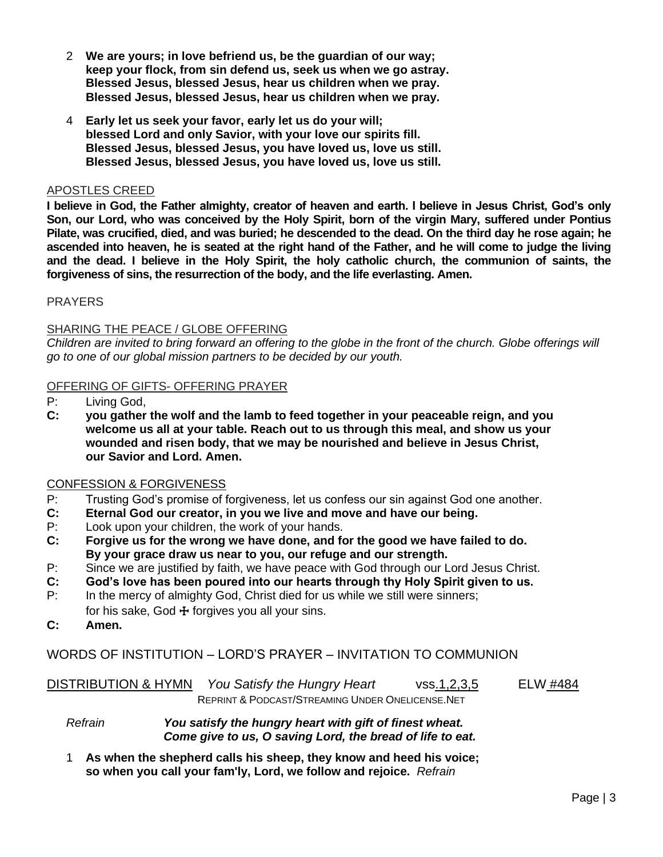- 2 **We are yours; in love befriend us, be the guardian of our way; keep your flock, from sin defend us, seek us when we go astray. Blessed Jesus, blessed Jesus, hear us children when we pray. Blessed Jesus, blessed Jesus, hear us children when we pray.**
- 4 **Early let us seek your favor, early let us do your will; blessed Lord and only Savior, with your love our spirits fill. Blessed Jesus, blessed Jesus, you have loved us, love us still. Blessed Jesus, blessed Jesus, you have loved us, love us still.**

# APOSTLES CREED

**I believe in God, the Father almighty, creator of heaven and earth. I believe in Jesus Christ, God's only Son, our Lord, who was conceived by the Holy Spirit, born of the virgin Mary, suffered under Pontius Pilate, was crucified, died, and was buried; he descended to the dead. On the third day he rose again; he ascended into heaven, he is seated at the right hand of the Father, and he will come to judge the living and the dead. I believe in the Holy Spirit, the holy catholic church, the communion of saints, the forgiveness of sins, the resurrection of the body, and the life everlasting. Amen.**

#### PRAYERS

#### SHARING THE PEACE / GLOBE OFFERING

*Children are invited to bring forward an offering to the globe in the front of the church. Globe offerings will go to one of our global mission partners to be decided by our youth.*

#### OFFERING OF GIFTS- OFFERING PRAYER

- P: Living God,
- **C: you gather the wolf and the lamb to feed together in your peaceable reign, and you welcome us all at your table. Reach out to us through this meal, and show us your wounded and risen body, that we may be nourished and believe in Jesus Christ, our Savior and Lord. Amen.**

#### CONFESSION & FORGIVENESS

- P: Trusting God's promise of forgiveness, let us confess our sin against God one another.
- **C: Eternal God our creator, in you we live and move and have our being.**
- P: Look upon your children, the work of your hands.
- **C: Forgive us for the wrong we have done, and for the good we have failed to do. By your grace draw us near to you, our refuge and our strength.**
- P: Since we are justified by faith, we have peace with God through our Lord Jesus Christ.
- **C: God's love has been poured into our hearts through thy Holy Spirit given to us.**
- P: In the mercy of almighty God, Christ died for us while we still were sinners; for his sake, God  $\div$  forgives you all your sins.
- **C: Amen.**

# WORDS OF INSTITUTION – LORD'S PRAYER – INVITATION TO COMMUNION

|                                                   | <b>DISTRIBUTION &amp; HYMN</b> You Satisfy the Hungry Heart | vss <u>.1,2,3,5</u> | ELW #484 |
|---------------------------------------------------|-------------------------------------------------------------|---------------------|----------|
| REPRINT & PODCAST/STREAMING UNDER ONELICENSE. NET |                                                             |                     |          |

# *Refrain You satisfy the hungry heart with gift of finest wheat. Come give to us, O saving Lord, the bread of life to eat.*

1 **As when the shepherd calls his sheep, they know and heed his voice; so when you call your fam'ly, Lord, we follow and rejoice.** *Refrain*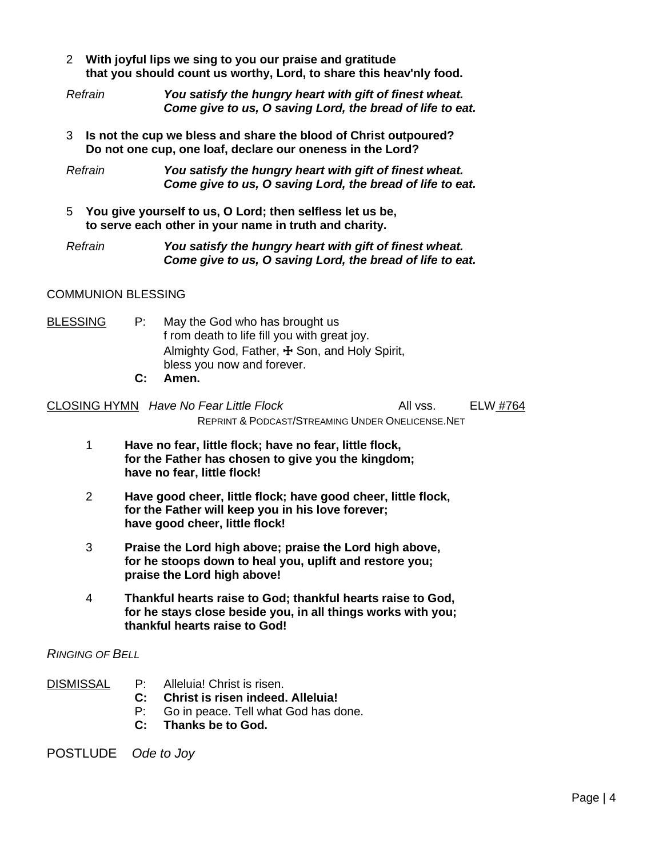- 2 **With joyful lips we sing to you our praise and gratitude that you should count us worthy, Lord, to share this heav'nly food.**
- *Refrain You satisfy the hungry heart with gift of finest wheat. Come give to us, O saving Lord, the bread of life to eat.*
- 3 **Is not the cup we bless and share the blood of Christ outpoured? Do not one cup, one loaf, declare our oneness in the Lord?**
- *Refrain You satisfy the hungry heart with gift of finest wheat. Come give to us, O saving Lord, the bread of life to eat.*
- 5 **You give yourself to us, O Lord; then selfless let us be, to serve each other in your name in truth and charity.**

*Refrain You satisfy the hungry heart with gift of finest wheat. Come give to us, O saving Lord, the bread of life to eat.*

# COMMUNION BLESSING

- BLESSING P: May the God who has brought us f rom death to life fill you with great joy. Almighty God, Father, + Son, and Holy Spirit, bless you now and forever.
	- **C: Amen.**

CLOSING HYMN *Have No Fear Little Flock* All vss. ELW #764 REPRINT & PODCAST/STREAMING UNDER ONELICENSE.NET

- 1 **Have no fear, little flock; have no fear, little flock, for the Father has chosen to give you the kingdom; have no fear, little flock!**
- 2 **Have good cheer, little flock; have good cheer, little flock, for the Father will keep you in his love forever; have good cheer, little flock!**
- 3 **Praise the Lord high above; praise the Lord high above, for he stoops down to heal you, uplift and restore you; praise the Lord high above!**
- 4 **Thankful hearts raise to God; thankful hearts raise to God, for he stays close beside you, in all things works with you; thankful hearts raise to God!**

*RINGING OF BELL*

- DISMISSAL P: Alleluia! Christ is risen.
	- **C: Christ is risen indeed. Alleluia!**
	- P: Go in peace. Tell what God has done.
	- **C: Thanks be to God.**

POSTLUDE *Ode to Joy*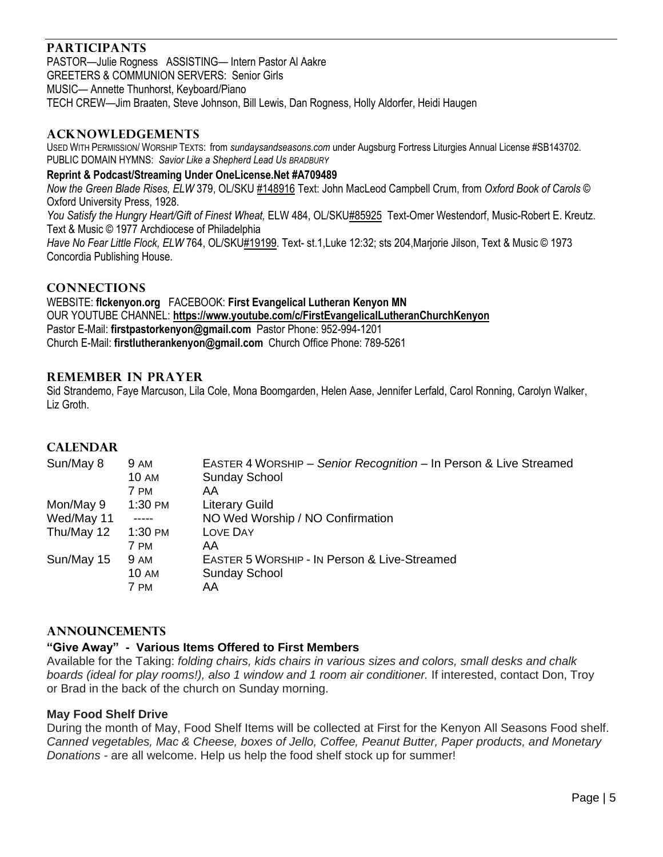# **PARTICIPANTS**

PASTOR—Julie Rogness ASSISTING— Intern Pastor Al Aakre GREETERS & COMMUNION SERVERS: Senior Girls MUSIC— Annette Thunhorst, Keyboard/Piano TECH CREW—Jim Braaten, Steve Johnson, Bill Lewis, Dan Rogness, Holly Aldorfer, Heidi Haugen

# **ACKNOWLEDGEMENTS**

USED WITH PERMISSION/ WORSHIP TEXTS: from *sundaysandseasons.com* under Augsburg Fortress Liturgies Annual License #SB143702. PUBLIC DOMAIN HYMNS: *Savior Like a Shepherd Lead Us BRADBURY*

#### **Reprint & Podcast/Streaming Under OneLicense.Net #A709489**

*Now the Green Blade Rises, ELW* 379, OL/SKU #148916 Text: John MacLeod Campbell Crum, from *Oxford Book of Carols* © Oxford University Press, 1928.

*You Satisfy the Hungry Heart/Gift of Finest Wheat,* ELW 484, OL/SKU#85925 Text-Omer Westendorf, Music-Robert E. Kreutz. Text & Music © 1977 Archdiocese of Philadelphia

*Have No Fear Little Flock, ELW* 764, OL/SKU#19199. Text- st.1,Luke 12:32; sts 204,Marjorie Jilson, Text & Music © 1973 Concordia Publishing House.

# **CONNECTIONS**

WEBSITE: **flckenyon.org** FACEBOOK: **First Evangelical Lutheran Kenyon MN** OUR YOUTUBE CHANNEL: **<https://www.youtube.com/c/FirstEvangelicalLutheranChurchKenyon>** Pastor E-Mail: **[firstpastorkenyon@gmail.com](mailto:firstpastorkenyon@gmail.com)** Pastor Phone: 952-994-1201 Church E-Mail: **[firstlutherankenyon@gmail.com](mailto:firstlutherankenyon@gmail.com)** Church Office Phone: 789-5261

# **REMEMBER IN PRAYER**

Sid Strandemo, Faye Marcuson, Lila Cole, Mona Boomgarden, Helen Aase, Jennifer Lerfald, Carol Ronning, Carolyn Walker, Liz Groth.

# **CALENDAR**

| Sun/May 8  | 9 AM<br><b>10 AM</b><br>7 PM | EASTER 4 WORSHIP - Senior Recognition - In Person & Live Streamed<br><b>Sunday School</b><br>AA |
|------------|------------------------------|-------------------------------------------------------------------------------------------------|
| Mon/May 9  | 1:30 PM                      | <b>Literary Guild</b>                                                                           |
| Wed/May 11 |                              | NO Wed Worship / NO Confirmation                                                                |
| Thu/May 12 | 1:30 PM                      | LOVE DAY                                                                                        |
|            | 7 PM                         | AA                                                                                              |
| Sun/May 15 | 9 AM                         | EASTER 5 WORSHIP - IN Person & Live-Streamed                                                    |
|            | <b>10 AM</b>                 | <b>Sunday School</b>                                                                            |
|            | 7 PM                         | AA                                                                                              |
|            |                              |                                                                                                 |

# **ANNOUNCEMENTS**

#### **"Give Away" - Various Items Offered to First Members**

Available for the Taking: *folding chairs, kids chairs in various sizes and colors, small desks and chalk boards (ideal for play rooms!), also 1 window and 1 room air conditioner.* If interested, contact Don, Troy or Brad in the back of the church on Sunday morning.

#### **May Food Shelf Drive**

During the month of May, Food Shelf Items will be collected at First for the Kenyon All Seasons Food shelf. *Canned vegetables, Mac & Cheese, boxes of Jello, Coffee, Peanut Butter, Paper products, and Monetary Donations -* are all welcome. Help us help the food shelf stock up for summer!